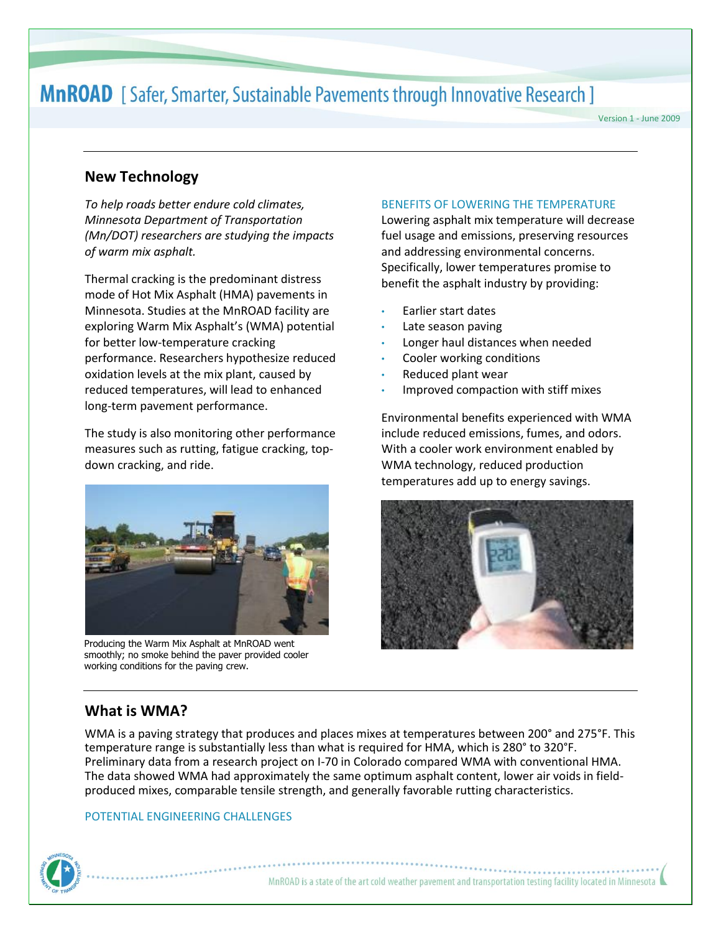# **MnROAD** [Safer, Smarter, Sustainable Pavements through Innovative Research ]

Version 1 - June 2009

# **New Technology**

*To help roads better endure cold climates, Minnesota Department of Transportation (Mn/DOT) researchers are studying the impacts of warm mix asphalt.* 

Thermal cracking is the predominant distress mode of Hot Mix Asphalt (HMA) pavements in Minnesota. Studies at the MnROAD facility are exploring Warm Mix Asphalt's (WMA) potential for better low-temperature cracking performance. Researchers hypothesize reduced oxidation levels at the mix plant, caused by reduced temperatures, will lead to enhanced long-term pavement performance.

The study is also monitoring other performance measures such as rutting, fatigue cracking, topdown cracking, and ride.



Producing the Warm Mix Asphalt at MnROAD went smoothly; no smoke behind the paver provided cooler working conditions for the paving crew.

#### BENEFITS OF LOWERING THE TEMPERATURE

Lowering asphalt mix temperature will decrease fuel usage and emissions, preserving resources and addressing environmental concerns. Specifically, lower temperatures promise to benefit the asphalt industry by providing:

- Earlier start dates
- Late season paving
- Longer haul distances when needed
- Cooler working conditions
- Reduced plant wear
- Improved compaction with stiff mixes

Environmental benefits experienced with WMA include reduced emissions, fumes, and odors. With a cooler work environment enabled by WMA technology, reduced production temperatures add up to energy savings.



# **What is WMA?**

WMA is a paving strategy that produces and places mixes at temperatures between 200° and 275°F. This temperature range is substantially less than what is required for HMA, which is 280° to 320°F. Preliminary data from a research project on I-70 in Colorado compared WMA with conventional HMA. The data showed WMA had approximately the same optimum asphalt content, lower air voids in fieldproduced mixes, comparable tensile strength, and generally favorable rutting characteristics.

### POTENTIAL ENGINEERING CHALLENGES

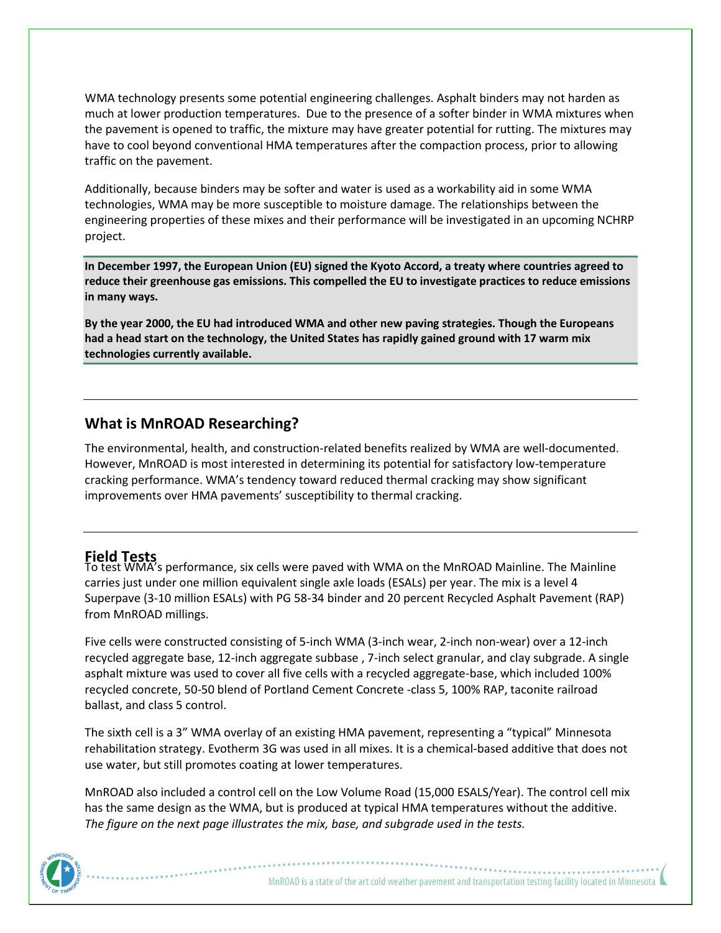WMA technology presents some potential engineering challenges. Asphalt binders may not harden as much at lower production temperatures. Due to the presence of a softer binder in WMA mixtures when the pavement is opened to traffic, the mixture may have greater potential for rutting. The mixtures may have to cool beyond conventional HMA temperatures after the compaction process, prior to allowing traffic on the pavement.

Additionally, because binders may be softer and water is used as a workability aid in some WMA technologies, WMA may be more susceptible to moisture damage. The relationships between the engineering properties of these mixes and their performance will be investigated in an upcoming NCHRP project.

**In December 1997, the European Union (EU) signed the Kyoto Accord, a treaty where countries agreed to reduce their greenhouse gas emissions. This compelled the EU to investigate practices to reduce emissions in many ways.**

**By the year 2000, the EU had introduced WMA and other new paving strategies. Though the Europeans had a head start on the technology, the United States has rapidly gained ground with 17 warm mix technologies currently available.**

# **What is MnROAD Researching?**

The environmental, health, and construction-related benefits realized by WMA are well-documented. However, MnROAD is most interested in determining its potential for satisfactory low-temperature cracking performance. WMA's tendency toward reduced thermal cracking may show significant improvements over HMA pavements' susceptibility to thermal cracking.

**Field Tests** To test WMA's performance, six cells were paved with WMA on the MnROAD Mainline. The Mainline carries just under one million equivalent single axle loads (ESALs) per year. The mix is a level 4 Superpave (3-10 million ESALs) with PG 58-34 binder and 20 percent Recycled Asphalt Pavement (RAP) from MnROAD millings.

Five cells were constructed consisting of 5-inch WMA (3-inch wear, 2-inch non-wear) over a 12-inch recycled aggregate base, 12-inch aggregate subbase , 7-inch select granular, and clay subgrade. A single asphalt mixture was used to cover all five cells with a recycled aggregate-base, which included 100% recycled concrete, 50-50 blend of Portland Cement Concrete -class 5, 100% RAP, taconite railroad ballast, and class 5 control.

The sixth cell is a 3" WMA overlay of an existing HMA pavement, representing a "typical" Minnesota rehabilitation strategy. Evotherm 3G was used in all mixes. It is a chemical-based additive that does not use water, but still promotes coating at lower temperatures.

MnROAD also included a control cell on the Low Volume Road (15,000 ESALS/Year). The control cell mix has the same design as the WMA, but is produced at typical HMA temperatures without the additive. *The figure on the next page illustrates the mix, base, and subgrade used in the tests.* 

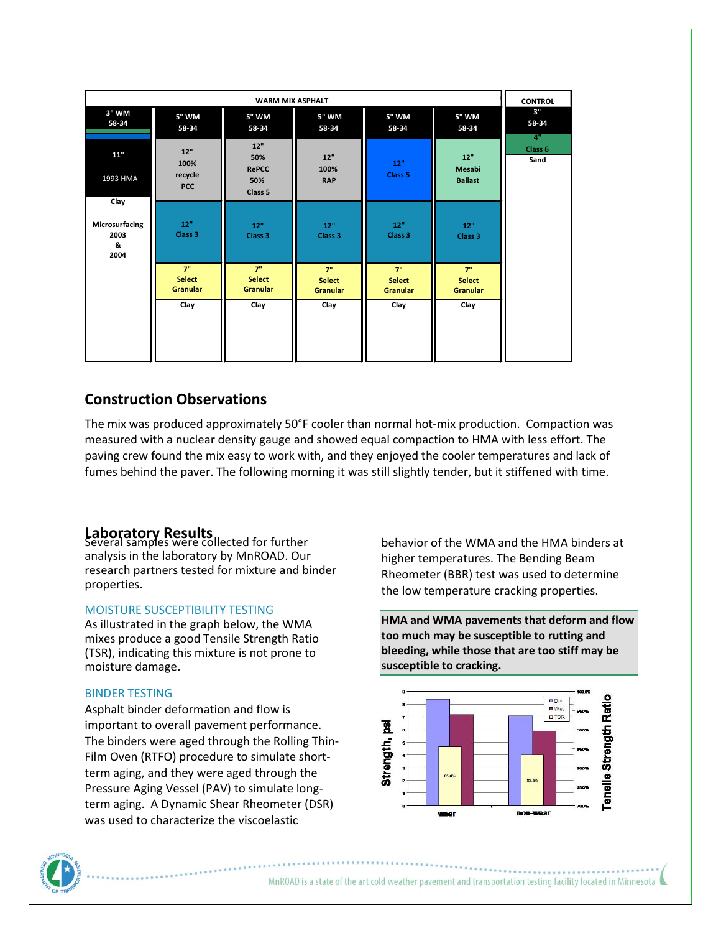| <b>WARM MIX ASPHALT</b>             |                                        |                                              |                                        |                                        |                                        | <b>CONTROL</b>    |
|-------------------------------------|----------------------------------------|----------------------------------------------|----------------------------------------|----------------------------------------|----------------------------------------|-------------------|
| 3" WM<br>58-34                      | 5" WM<br>58-34                         | 5" WM<br>58-34                               | 5" WM<br>58-34                         | 5" WM<br>58-34                         | 5" WM<br>58-34                         | 3"<br>58-34<br>4" |
| $11"$<br>1993 HMA<br>Clay           | 12"<br>100%<br>recycle<br><b>PCC</b>   | 12"<br>50%<br><b>RePCC</b><br>50%<br>Class 5 | 12"<br>100%<br><b>RAP</b>              | 12"<br>Class <sub>5</sub>              | 12"<br>Mesabi<br><b>Ballast</b>        | Class 6<br>Sand   |
| Microsurfacing<br>2003<br>&<br>2004 | 12"<br>Class 3                         | 12"<br>Class 3                               | 12"<br>Class <sub>3</sub>              | 12"<br>Class <sub>3</sub>              | 12"<br>Class <sub>3</sub>              |                   |
|                                     | 7"<br><b>Select</b><br><b>Granular</b> | 7"<br><b>Select</b><br>Granular              | 7"<br><b>Select</b><br><b>Granular</b> | 7"<br><b>Select</b><br><b>Granular</b> | 7"<br><b>Select</b><br><b>Granular</b> |                   |
|                                     | Clay                                   | Clay                                         | Clay                                   | Clay                                   | Clay                                   |                   |

# **Construction Observations**

The mix was produced approximately 50°F cooler than normal hot-mix production. Compaction was measured with a nuclear density gauge and showed equal compaction to HMA with less effort. The paving crew found the mix easy to work with, and they enjoyed the cooler temperatures and lack of fumes behind the paver. The following morning it was still slightly tender, but it stiffened with time.

# **Laboratory Results**<br>Several samples were collected for further

analysis in the laboratory by MnROAD. Our research partners tested for mixture and binder properties.

### MOISTURE SUSCEPTIBILITY TESTING

As illustrated in the graph below, the WMA mixes produce a good Tensile Strength Ratio (TSR), indicating this mixture is not prone to moisture damage.

### BINDER TESTING

Asphalt binder deformation and flow is important to overall pavement performance. The binders were aged through the Rolling Thin-Film Oven (RTFO) procedure to simulate shortterm aging, and they were aged through the Pressure Aging Vessel (PAV) to simulate longterm aging. A Dynamic Shear Rheometer (DSR) was used to characterize the viscoelastic

behavior of the WMA and the HMA binders at higher temperatures. The Bending Beam Rheometer (BBR) test was used to determine the low temperature cracking properties.

**HMA and WMA pavements that deform and flow too much may be susceptible t[o rutting](http://www.asphaltwa.com/wapa_web/modules/11_guidance/11_surface_distress.htm#rutting) and [bleeding,](http://www.asphaltwa.com/wapa_web/modules/11_guidance/11_surface_distress.htm#bleeding) while those that are too stiff may be susceptible to [cracking.](http://www.asphaltwa.com/wapa_web/modules/11_guidance/11_surface_distress.htm#alligator_cracking)**